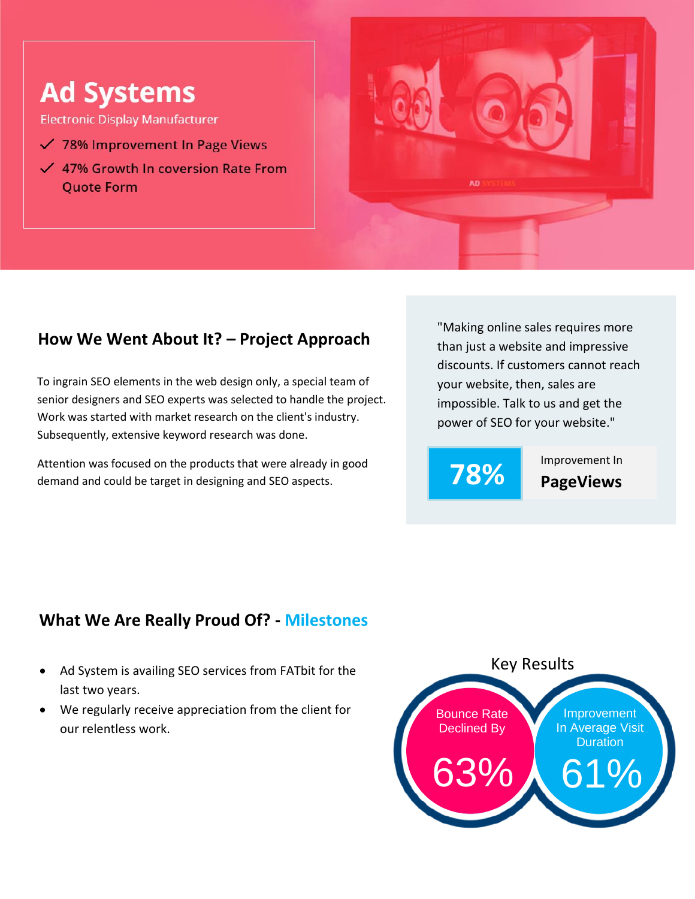## **Ad Systems**

**Electronic Display Manufacturer** 

- √ 78% Improvement In Page Views
- $\checkmark$  47% Growth In coversion Rate From **Quote Form**



## **How We Went About It? – Project Approach**

To ingrain SEO elements in the web design only, a special team of senior designers and SEO experts was selected to handle the project. Work was started with market research on the client's industry. Subsequently, extensive keyword research was done.

Attention was focused on the products that were already in good demand and could be target in designing and SEO aspects.

"Making online sales requires more than just a website and impressive discounts. If customers cannot reach your website, then, sales are impossible. Talk to us and get the power of SEO for your website."



**78% Improvement In** 

## **What We Are Really Proud Of? - Milestones**

- Ad System is availing SEO services from FATbit for the last two years.
- We regularly receive appreciation from the client for our relentless work.